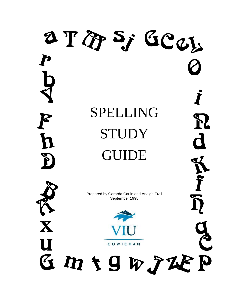## a T'Ap Sj GCW P SPELLING  $\mathbf{P}$  $\boldsymbol{\beta}$ STUDY  $\overline{\mathbf{d}}$ GUIDE P) Prepared by Gerarda Carlin and Arleigh Trail September 1998X U COWICHAN mtgwJLP  $G$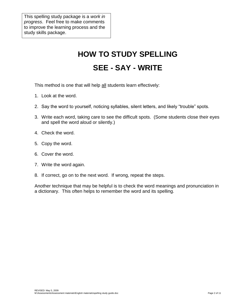This spelling study package is a *work in progress*. Feel free to make comments to improve the learning process and the study skills package.

# **HOW TO STUDY SPELLING**

## **SEE - SAY - WRITE**

This method is one that will help all students learn effectively:

- 1. Look at the word.
- 2. Say the word to yourself, noticing syllables, silent letters, and likely "trouble" spots.
- 3. Write each word, taking care to see the difficult spots. (Some students close their eyes and spell the word aloud or silently.)
- 4. Check the word.
- 5. Copy the word.
- 6. Cover the word.
- 7. Write the word again.
- 8. If correct, go on to the next word. If wrong, repeat the steps.

Another technique that may be helpful is to check the word meanings and pronunciation in a dictionary. This often helps to remember the word and its spelling.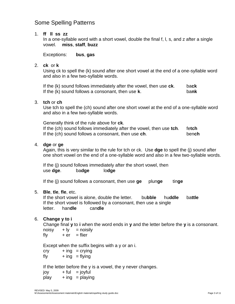### Some Spelling Patterns

#### 1. **ff ll ss zz**

In a one-syllable word with a short vowel, double the final f, l, s, and z after a single vowel. **miss**, **staff**, **buzz**

Exceptions: **bus**, **gas**

#### 2. **ck** or **k**

Using ck to spell the (k) sound after one short vowel at the end of a one-syllable word and also in a few two-syllable words.

If the (k) sound follows immediately after the vowel, then use **ck**. ba**ck** If the (k) sound follows a consonant, then use **k**. ba**nk**

#### 3. **tch** or **ch**

Use tch to spell the (ch) sound after one short vowel at the end of a one-syllable word and also in a few two-syllable words.

Generally think of the rule above for **ck**. If the (ch) sound follows immediately after the vowel, then use **tch**. fe**tch** If the (ch) sound follows a consonant, then use **ch**. ben**ch**

#### 4. **dge** or **ge**

Again, this is very similar to the rule for tch or ck. Use **dge** to spell the (j) sound after one short vowel on the end of a one-syllable word and also in a few two-syllable words.

If the (j) sound follows immediately after the short vowel, then use **dge**. ba**dge** lo**dge**

If the (j) sound follows a consonant, then use **ge** plun**ge** tin**ge**

#### 5. **Ble**, **tle**, **fle**, etc.

If the short vowel is alone, double the letter. bu**bble** hu**ddle** ba**ttle** If the short vowel is followed by a consonant, then use a single letter. han**dle** can**dle**

#### 6. **Change y to i**

Change final **y** to **i** when the word ends in **y** and the letter before the **y** is a consonant.  $noise + ly = noisy$ 

 $fly + er = flier$ 

Except when the suffix begins with a y or an i.

 $cry + ing = crying$  $fly + inq = flying$ 

If the letter before the y is a vowel, the y never changes.

 $joy + ful = joyful$  $play + inq = playing$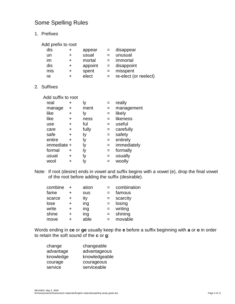## Some Spelling Rules

1. Prefixes

| Add prefix to root |  |  |
|--------------------|--|--|
|                    |  |  |

| dis | $\pm$ | appear  | $=$ | disappear             |
|-----|-------|---------|-----|-----------------------|
| un  | ٠     | usual   | $=$ | unusual               |
| im  |       | mortal  | $=$ | immortal              |
| dis | ٠     | appoint | $=$ | disappoint            |
| mis | ٠     | spent   | $=$ | misspent              |
| re  |       | elect   | $=$ | re-elect (or reelect) |

2. Suffixes

Add suffix to root

| real        | ٠ | ly    | $=$ | really      |
|-------------|---|-------|-----|-------------|
| manage      | ٠ | ment  | $=$ | management  |
| like        | + | ly    | $=$ | likely      |
| like        | + | ness  | $=$ | likeness    |
| use         | + | ful   | $=$ | useful      |
| care        | ÷ | fully | $=$ | carefully   |
| safe        | ٠ | ty    | $=$ | safety      |
| entire      | + | ly    | $=$ | entirely    |
| immediate + |   | ly    | $=$ | immediately |
| formal      | + | lу    | $=$ | formally    |
| usual       | + | ly    | $=$ | usually     |
| wool        | ٠ | Iy    | $=$ | woolly      |
|             |   |       |     |             |

Note: If root (desire) ends in vowel and suffix begins with a vowel (e), drop the final vowel of the root before adding the suffix (desirable).

| combine | ÷ | ation |     | combination |
|---------|---|-------|-----|-------------|
| fame    | ٠ | ous   |     | famous      |
| scarce  | + | ity   | $=$ | scarcity    |
| lose    | + | ing   | $=$ | losing      |
| write   | ٠ | ing   | $=$ | writing     |
| shine   | ٠ | ing   | $=$ | shining     |
| move    |   | able  |     | movable     |

Words ending in **ce** or **ge** usually keep the **e** before a suffix beginning with **a** or **o** in order to retain the soft sound of the **c** or **g**:

| change    | changeable    |
|-----------|---------------|
| advantage | advantageous  |
| knowledge | knowledgeable |
| courage   | courageous    |
| service   | serviceable   |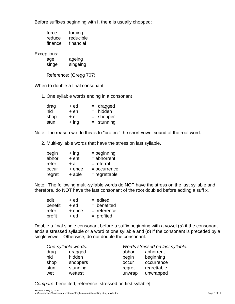Before suffixes beginning with **i**, the **e** is usually chopped:

| force   | forcing   |
|---------|-----------|
| reduce  | reducible |
| finance | financial |

Exceptions:

| age   | ageing   |
|-------|----------|
| sınge | singeing |

Reference: (Gregg 707)

When to double a final consonant

1. One syllable words ending in a consonant

| drag | $+ed$   | $=$ dragged  |
|------|---------|--------------|
| hid  | $+en$   | $=$ hidden   |
| shop | + er    | $=$ shopper  |
| stun | $+$ ing | $=$ stunning |

Note: The reason we do this is to "protect" the short vowel sound of the root word.

2. Multi-syllable words that have the stress on last syllable.

| begin  | $+$ ing | $=$ beginning   |
|--------|---------|-----------------|
| abhor  | $+$ ent | $=$ abhorrent   |
| refer  | + al    | $=$ referral    |
| occur  | + ence  | $=$ occurrence  |
| regret | + able  | $=$ regrettable |

Note: The following multi-syllable words do NOT have the stress on the last syllable and therefore, do NOT have the last consonant of the root doubled before adding a suffix.

| edit    | + ed     | $=$ edited    |
|---------|----------|---------------|
| benefit | + ed     | $=$ benefited |
| refer   | $+$ ence | $=$ reference |
| profit  | + ed     | $=$ profited  |

Double a final single consonant before a suffix beginning with a vowel (*a*) if the consonant ends a stressed syllable or a word of one syllable and (*b*) if the consonant is preceded by a single vowel. Otherwise, do not double the consonant.

| One-syllable words: |          |        | Words stressed on last syllable: |  |
|---------------------|----------|--------|----------------------------------|--|
| drag                | dragged  | abhor  | abhorrent                        |  |
| hid                 | hidden   | begin  | beginning                        |  |
| shop                | shoppers | occur  | occurrence                       |  |
| stun                | stunning | regret | regrettable                      |  |
| wet                 | wettest  | unwrap | unwrapped                        |  |

*Compare*: benefited, reference [stressed on first syllable]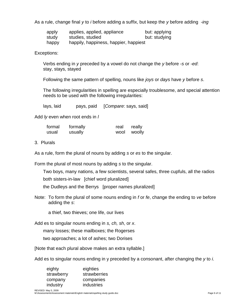As a rule, change final *y* to *i* before adding a suffix, but keep the *y* before adding *-ing*

| apply | applies, applied, appliance           | but: applying |
|-------|---------------------------------------|---------------|
| study | studies, studied                      | but: studying |
| happy | happily, happiness, happier, happiest |               |

Exceptions:

Verbs ending in *y* preceded by a vowel do not change the *y* before -*s* or -*ed*: stay, stays, stayed

Following the same pattern of spelling, nouns like *joys* or *days* have *y* before *s*.

The following irregularities in spelling are especially troublesome, and special attention needs to be used with the following irregularities:

lays, laid pays, paid [*Compare*: says, said]

Add *ly* even when root ends in *l*

| formal | formally | real | really      |
|--------|----------|------|-------------|
| usual  | usually  |      | wool woolly |

3. Plurals

As a rule, form the plural of nouns by adding *s* or *es* to the singular.

Form the plural of most nouns by adding *s* to the singular.

Two boys, many nations, a few scientists, several safes, three cupfuls, all the radios

both sisters-in-law [chief word pluralized]

the Dudleys and the Berrys [proper names pluralized]

Note: To form the plural of some nouns ending in *f* or *fe*, change the ending to *ve* before adding the *s*:

a thief, two thieves; one life, our lives

Add es to singular nouns ending in *s, ch, sh*, or *x*.

many losses; these mailboxes; the Rogerses

two approaches; a lot of ashes; two Dorises

[Note that each plural above makes an extra syllable.]

Add es to singular nouns ending in y preceded by a consonant, after changing the *y* to *i*.

| eighty     | eighties     |
|------------|--------------|
| strawberry | strawberries |
| company    | companies    |
| industry   | industries   |
|            |              |

REVISED: May 5, 2009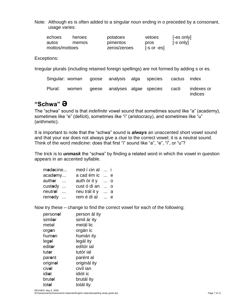Note: Although es is often added to a singular noun ending in o preceded by a consonant, usage varies:

| echoes         | heroes | potatoes     | vetoes                 | [-es only] |
|----------------|--------|--------------|------------------------|------------|
| autos          | memos  | pimentos     | pros                   | [-s only]  |
| mottos/mottoes |        | zeros/zeroes | $[-s \text{ or } -es]$ |            |

Exceptions:

Irregular plurals (including retained foreign spellings) are not formed by adding s or es.

|  |  | Singular: woman goose analysis alga species cactus index |                       |
|--|--|----------------------------------------------------------|-----------------------|
|  |  | Plural: women geese analyses algae species cacti         | indexes or<br>indices |

## **"Schwa" ə**

The "schwa" sound is that *indefinite* vowel sound that sometimes sound like "a" (acad*e*my), sometimes like "e" (def*i*cit), sometimes like "i" (aristocr*a*cy), and sometimes like "u" (arithmetic).

It is important to note that the "schwa" sound is *always* an unaccented short vowel sound and that your ear does not always give a clue to the correct vowel; it is a neutral sound. Think of the word *medicine*: does that first "i" sound like "a", "e", "i", or "u"?

The trick is to *unmask* the "schwa" by finding a related word in which the vowel in question appears in an accented syllable.

| madacine                  | med í cin al  | $1.1 - 1.$ |  |
|---------------------------|---------------|------------|--|
| $acad$ <b>a</b> $y$       | a cad ém ic   | e          |  |
| auth <b>ə</b> r<br>$\sim$ | auth ór it y  | 0          |  |
| custady                   | cust ó di an  | 0          |  |
| neutral                   | neu trál it y | a          |  |
| remady                    | rem é di al   | e          |  |

Now try these – change to find the correct vowel for each of the following:

| personal        | person ál ity |
|-----------------|---------------|
| similer         | simil ár ity  |
| metəl           | metál lic     |
| organ           | orgán ic      |
| hum <b>ə</b> n  | humán ity     |
| legal           | legál ity     |
| editer          | edítór ial    |
| tutər           | tutór ial     |
| par <b>ə</b> nt | parént al     |
| original        | originál ity  |
| civel           | civíl ian     |
| idi <b>ə</b> t  | idiót ic      |
| brutəl          | brutál ity    |
| totəl           | totál ity     |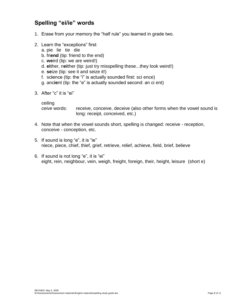## **Spelling "ei/ie" words**

- 1. Erase from your memory the "half rule" you learned in grade two.
- 2. Learn the "exceptions" first:
	- a. pie lie tie die
	- b. fri**end** (tip: friend to the end)
	- c. **we**ird (tip: we are weird!)
	- d. **ei**ther, n**ei**ther (tip: just try misspelling these...they look weird!)
	- e. **se**ize (tip: see it and seize it!)
	- f. sc**i**ence (tip: the "i" is actually sounded first: sci ence)
	- g. anc**ie**nt (tip: the "e" is actually sounded second: an ci ent)
- 3. After "c" it is "ei"

ceiling

*ceive* words: receive, conceive, deceive (also other forms when the vowel sound is long: receipt, conceived, etc.)

- 4. Note that when the vowel sounds short, spelling is changed: receive reception, conceive - conception, etc.
- 5. If sound is long "e", it is "ie" niece, piece, chief, thief, grief, retrieve, relief, achieve, field, brief, believe
- 6. If sound is not long "e", it is "ei" eight, rein, neighbour, vein, weigh, freight, foreign, their, height, leisure (short e)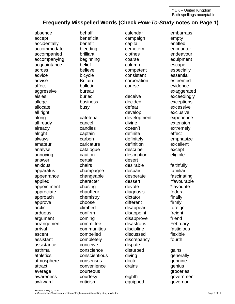\* UK – United Kingdom Both spellings acceptable

### **Frequently Misspelled Words (Check** *How-To-Study* **notes on Page 1)**

absence accept accidentally accommodate accompanied accompanying acquaintance across advice advise affect aggressive aisles allege allocate all right along all ready already alright always amateur analyse annoying answer anxious apparatus appearance applied appointment appreciate approach approve arctic arduous argument arrangement arrival ascent assistant assistance asthma athletics atmosphere attract average awareness awkward

behalf beneficial benefit bleeding brilliant beginning belief believe bicycle **Britain** bulletin bureau buried business busy cafeteria cancel candles captain carbon caricature catalogue caution certain chairs champagne changeable character chasing chauffeur chemistry choose climbed confirm coming committee communities compelled completely conceive conscience conscientious consensus convenience courteous courtesy criticism

calendar campaign capital cemetery clothes coarse column competent consistent corporation course deceive decided defeat develop development divine doesn't definite definitely definition describe description desert desirable despair desperate dessert devote diagnosis dictator different disappear disappoint disapprove disastrous discipline discussed discrepancy dispute disturbed diving doctor drains eighth equipped

embarrass empty entitled encounter endeavour equipment escape especially essential esteemed evidence exaggerated exceedingly exceptions excessive exclusive experience extension extremely effect emphasize excellent except eligible faithfully familiar fascinating \*favourable \*favourite federal finally firmly foreign freight friend February fastidious flexible fourth gains generally genuine genius groceries government governor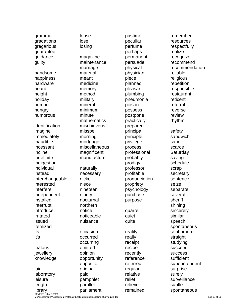grammar gradations gregarious guarantee guidance guilty handsome happiness hardware heard height holiday human hungry humorous identification imagine immediately inaudible incessant incline indefinite indigestion individual instead interchangeable interested interfere independent installed interrupt introduce irritated issued itemized its it's iealous jewellery knowledge laid laboratory leisure length

lose losing magazine maintenance marriage material meant medicine memory method military mineral minimum minute mathematics mischievous misspell morning mortgage miscellaneous magnificent manufacturer naturally necessary nickel niece nineteen ninety nocturnal northern notice noticeable nuisance occasion occurred occurring omitted opinion opportunity opposite original paid pamphlet parallel parliament

loose

pastime peculiar perfume perhaps permanent persuade physical physician piece planned pleasant plumbing pneumonia poison possess postpone practically prepared principal principle privilege process professional probably prodigy professor profitable pronunciation propriety psychology purchase purpose quarrel quiet quite reality really receipt recipe recently reference referred regular relative relief relieve remained

remember resources respectfully realize recognize recommend recommendation reliable religious repetition responsible restaurant reticent referral reverse review rhythm safety sandwich sane scarce **Saturday** saving schedule scrap secretary sentence seize separate several sheriff shining sincerely similar speech spontaneous sophomore straight studying succeed success sufficient superintendent surprise surely surveillance subtle spontaneous

REVISED: May 5, 2009 M:\Assessments\Assessment materials\English materials\spelling study guide.doc Page 10 of 11

library